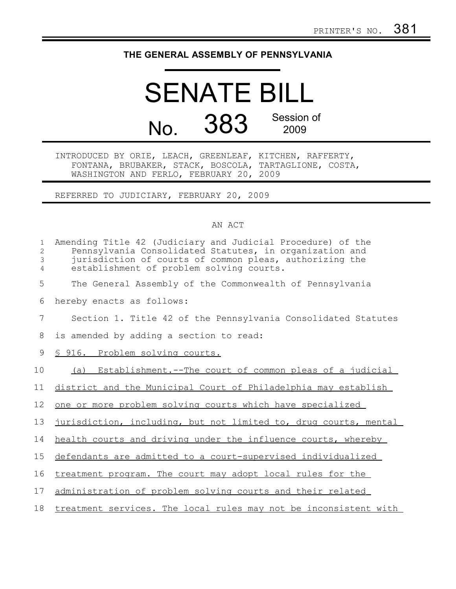## **THE GENERAL ASSEMBLY OF PENNSYLVANIA**

## SENATE BILL No. 383 Session of 2009

INTRODUCED BY ORIE, LEACH, GREENLEAF, KITCHEN, RAFFERTY, FONTANA, BRUBAKER, STACK, BOSCOLA, TARTAGLIONE, COSTA, WASHINGTON AND FERLO, FEBRUARY 20, 2009

REFERRED TO JUDICIARY, FEBRUARY 20, 2009

## AN ACT

| $\mathbf 1$<br>$\overline{2}$<br>3<br>$\overline{4}$ | Amending Title 42 (Judiciary and Judicial Procedure) of the<br>Pennsylvania Consolidated Statutes, in organization and<br>jurisdiction of courts of common pleas, authorizing the<br>establishment of problem solving courts. |
|------------------------------------------------------|-------------------------------------------------------------------------------------------------------------------------------------------------------------------------------------------------------------------------------|
| 5                                                    | The General Assembly of the Commonwealth of Pennsylvania                                                                                                                                                                      |
| 6                                                    | hereby enacts as follows:                                                                                                                                                                                                     |
| 7                                                    | Section 1. Title 42 of the Pennsylvania Consolidated Statutes                                                                                                                                                                 |
| 8                                                    | is amended by adding a section to read:                                                                                                                                                                                       |
| 9                                                    | § 916. Problem solving courts.                                                                                                                                                                                                |
| 10                                                   | (a) Establishment.--The court of common pleas of a judicial                                                                                                                                                                   |
| 11                                                   | district and the Municipal Court of Philadelphia may establish                                                                                                                                                                |
| 12                                                   | one or more problem solving courts which have specialized                                                                                                                                                                     |
| 13                                                   | jurisdiction, including, but not limited to, drug courts, mental                                                                                                                                                              |
| 14                                                   | health courts and driving under the influence courts, whereby                                                                                                                                                                 |
| 15                                                   | defendants are admitted to a court-supervised individualized                                                                                                                                                                  |
| 16                                                   | treatment program. The court may adopt local rules for the                                                                                                                                                                    |
| 17                                                   | administration of problem solving courts and their related                                                                                                                                                                    |
| 18                                                   | treatment services. The local rules may not be inconsistent with                                                                                                                                                              |
|                                                      |                                                                                                                                                                                                                               |